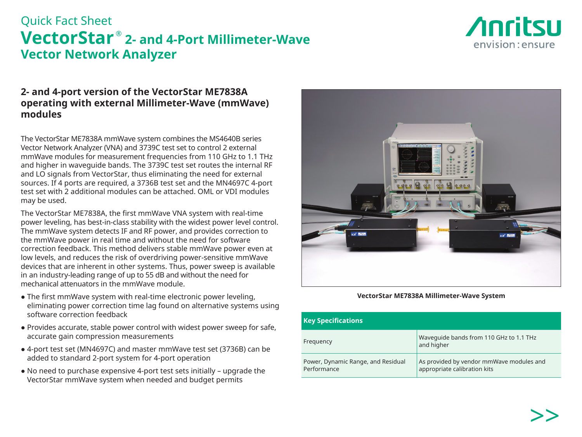# Quick Fact Sheet **VectorStar ® 2- and 4-Port Millimeter-Wave Vector Network Analyzer**



### **2- and 4-port version of the VectorStar ME7838A operating with external Millimeter-Wave (mmWave) modules**

The VectorStar ME7838A mmWave system combines the MS4640B series Vector Network Analyzer (VNA) and 3739C test set to control 2 external mmWave modules for measurement frequencies from 110 GHz to 1.1 THz and higher in waveguide bands. The 3739C test set routes the internal RF and LO signals from VectorStar, thus eliminating the need for external sources. If 4 ports are required, a 3736B test set and the MN4697C 4-port test set with 2 additional modules can be attached. OML or VDI modules may be used.

The VectorStar ME7838A, the first mmWave VNA system with real-time power leveling, has best-in-class stability with the widest power level control. The mmWave system detects IF and RF power, and provides correction to the mmWave power in real time and without the need for software correction feedback. This method delivers stable mmWave power even at low levels, and reduces the risk of overdriving power-sensitive mmWave devices that are inherent in other systems. Thus, power sweep is available in an industry-leading range of up to 55 dB and without the need for mechanical attenuators in the mmWave module.

- The first mmWave system with real-time electronic power leveling, eliminating power correction time lag found on alternative systems using software correction feedback
- Provides accurate, stable power control with widest power sweep for safe, accurate gain compression measurements
- 4-port test set (MN4697C) and master mmWave test set (3736B) can be added to standard 2-port system for 4-port operation
- No need to purchase expensive 4-port test sets initially upgrade the VectorStar mmWave system when needed and budget permits



**VectorStar ME7838A Millimeter-Wave System**

| <b>Key Specifications</b>                         |                                                                          |  |  |
|---------------------------------------------------|--------------------------------------------------------------------------|--|--|
| Frequency                                         | Wavequide bands from 110 GHz to 1.1 THz<br>and higher                    |  |  |
| Power, Dynamic Range, and Residual<br>Performance | As provided by vendor mmWave modules and<br>appropriate calibration kits |  |  |